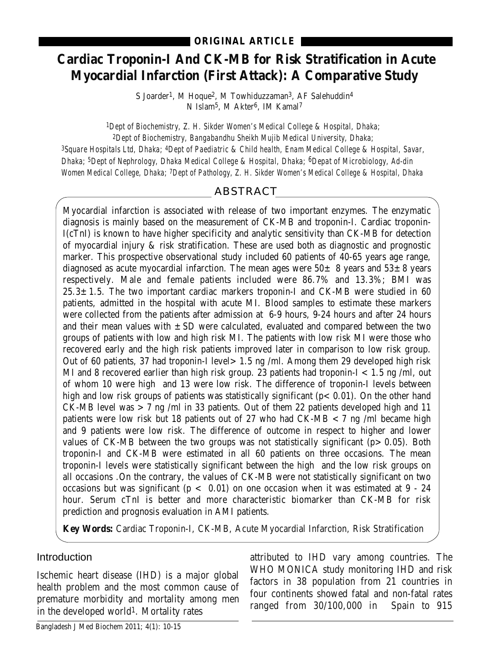# **Cardiac Troponin-I And CK-MB for Risk Stratification in Acute Myocardial Infarction (First Attack): A Comparative Study**

S Joarder<sup>1</sup>, M Hoque<sup>2</sup>, M Towhiduzzaman<sup>3</sup>, AF Salehuddin<sup>4</sup> N Islam5, M Akter6, IM Kamal7

*1Dept of Biochemistry, Z. H. Sikder Women's Medical College & Hospital, Dhaka; 2Dept of Biochemistry, Bangabandhu Sheikh Mujib Medical University, Dhaka;* 

*3Square Hospitals Ltd, Dhaka; 4Dept of Paediatric & Child health, Enam Medical College & Hospital, Savar, Dhaka; 5Dept of Nephrology, Dhaka Medical College & Hospital, Dhaka; 6Depat of Microbiology, Ad-din Women Medical College, Dhaka; 7Dept of Pathology, Z. H. Sikder Women's Medical College & Hospital, Dhaka*

## ABSTRACT

Myocardial infarction is associated with release of two important enzymes. The enzymatic diagnosis is mainly based on the measurement of CK-MB and troponin-I. Cardiac troponin-I(cTnI) is known to have higher specificity and analytic sensitivity than CK-MB for detection of myocardial injury & risk stratification. These are used both as diagnostic and prognostic marker. This prospective observational study included 60 patients of 40-65 years age range, diagnosed as acute myocardial infarction. The mean ages were  $50\pm 8$  years and  $53\pm 8$  years respectively. Male and female patients included were 86.7% and 13.3%; BMI was  $25.3 \pm 1.5$ . The two important cardiac markers troponin-I and CK-MB were studied in 60 patients, admitted in the hospital with acute MI. Blood samples to estimate these markers were collected from the patients after admission at 6-9 hours, 9-24 hours and after 24 hours and their mean values with  $\pm$  SD were calculated, evaluated and compared between the two groups of patients with low and high risk MI. The patients with low risk MI were those who recovered early and the high risk patients improved later in comparison to low risk group. Out of 60 patients, 37 had troponin-I level>1.5 ng /ml. Among them 29 developed high risk MI and 8 recovered earlier than high risk group. 23 patients had troponin-I  $< 1.5$  ng /ml, out of whom 10 were high and 13 were low risk. The difference of troponin-I levels between high and low risk groups of patients was statistically significant ( $p < 0.01$ ). On the other hand CK-MB level was >7 ng /ml in 33 patients. Out of them 22 patients developed high and 11 patients were low risk but 18 patients out of 27 who had CK-MB <7 ng /ml became high and 9 patients were low risk. The difference of outcome in respect to higher and lower values of CK-MB between the two groups was not statistically significant ( $p > 0.05$ ). Both troponin-I and CK-MB were estimated in all 60 patients on three occasions. The mean troponin-I levels were statistically significant between the high and the low risk groups on all occasions .On the contrary, the values of CK-MB were not statistically significant on two occasions but was significant ( $p < 0.01$ ) on one occasion when it was estimated at 9 - 24 hour. Serum cTnI is better and more characteristic biomarker than CK-MB for risk prediction and prognosis evaluation in AMI patients.

**Key Words:** Cardiac Troponin-I, CK-MB, Acute Myocardial Infarction, Risk Stratification

## Introduction

Ischemic heart disease (IHD) is a major global health problem and the most common cause of premature morbidity and mortality among men in the developed world1. Mortality rates

attributed to IHD vary among countries. The WHO MONICA study monitoring IHD and risk factors in 38 population from 21 countries in four continents showed fatal and non-fatal rates ranged from 30/100,000 in Spain to 915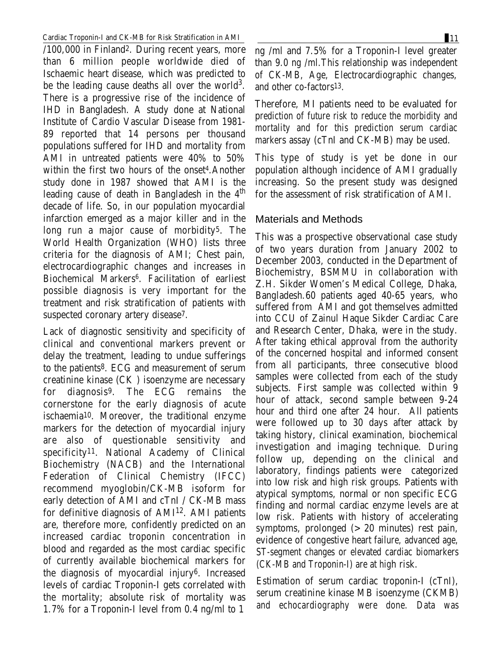#### Cardiac Troponin-I and CK-MB for Risk Stratification in AMI 11

/100,000 in Finland2. During recent years, more than 6 million people worldwide died of Ischaemic heart disease, which was predicted to be the leading cause deaths all over the world<sup>3</sup>. There is a progressive rise of the incidence of IHD in Bangladesh. A study done at National Institute of Cardio Vascular Disease from 1981- 89 reported that 14 persons per thousand populations suffered for IHD and mortality from AMI in untreated patients were 40% to 50% within the first two hours of the onset 4.Another study done in 1987 showed that AMI is the leading cause of death in Bangladesh in the  $4<sup>th</sup>$ decade of life. So, in our population myocardial infarction emerged as a major killer and in the long run a major cause of morbidity<sup>5</sup>. The World Health Organization (WHO) lists three criteria for the diagnosis of AMI; Chest pain, electrocardiographic changes and increases in Biochemical Markers<sup>6</sup>. Facilitation of earliest possible diagnosis is very important for the treatment and risk stratification of patients with suspected coronary artery disease7.

Lack of diagnostic sensitivity and specificity of clinical and conventional markers prevent or delay the treatment, leading to undue sufferings to the patients8. ECG and measurement of serum creatinine kinase (CK ) isoenzyme are necessary for diagnosis9. The ECG remains the cornerstone for the early diagnosis of acute ischaemia10. Moreover, the traditional enzyme markers for the detection of myocardial injury are also of questionable sensitivity and specificity11. National Academy of Clinical Biochemistry (NACB) and the International Federation of Clinical Chemistry (IFCC) recommend myoglobin/CK-MB isoform for early detection of AMI and cTnI / CK-MB mass for definitive diagnosis of AMI<sup>12</sup>. AMI patients are, therefore more, confidently predicted on an increased cardiac troponin concentration in blood and regarded as the most cardiac specific of currently available biochemical markers for the diagnosis of myocardial injury6. Increased levels of cardiac Troponin-I gets correlated with the mortality; absolute risk of mortality was 1.7% for a Troponin-I level from 0.4 ng/ml to 1

ng /ml and 7.5% for a Troponin-I level greater than 9.0 ng /ml.This relationship was independent of CK-MB, Age, Electrocardiographic changes, and other co-factors13.

Therefore, MI patients need to be evaluated for prediction of future risk to reduce the morbidity and mortality and for this prediction serum cardiac markers assay (cTnI and CK-MB) may be used.

This type of study is yet be done in our population although incidence of AMI gradually increasing. So the present study was designed for the assessment of risk stratification of AMI.

### Materials and Methods

This was a prospective observational case study of two years duration from January 2002 to December 2003, conducted in the Department of Biochemistry, BSMMU in collaboration with Z.H. Sikder Women's Medical College, Dhaka, Bangladesh.60 patients aged 40-65 years, who suffered from AMI and got themselves admitted into CCU of Zainul Haque Sikder Cardiac Care and Research Center, Dhaka, were in the study. After taking ethical approval from the authority of the concerned hospital and informed consent from all participants, three consecutive blood samples were collected from each of the study subjects. First sample was collected within 9 hour of attack, second sample between 9-24 hour and third one after 24 hour. All patients were followed up to 30 days after attack by taking history, clinical examination, biochemical investigation and imaging technique. During follow up, depending on the clinical and laboratory, findings patients were categorized into low risk and high risk groups. Patients with atypical symptoms, normal or non specific ECG finding and normal cardiac enzyme levels are at low risk. Patients with history of accelerating symptoms, prolonged  $(>20$  minutes) rest pain, evidence of congestive heart failure, advanced age, ST-segment changes or elevated cardiac biomarkers (CK-MB and Troponin-I) are at high risk.

Estimation of serum cardiac troponin-I (cTnI), serum creatinine kinase MB isoenzyme (CKMB) and echocardiography were done. Data was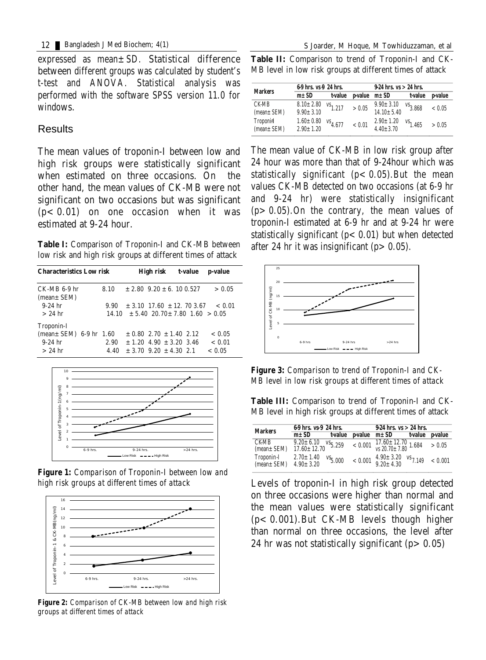expressed as mean±SD. Statistical difference between different groups was calculated by student's t-test and ANOVA. Statistical analysis was performed with the software SPSS version 11.0 for windows.

## **Results**

The mean values of troponin-I between low and high risk groups were statistically significant when estimated on three occasions. On the other hand, the mean values of CK-MB were not significant on two occasions but was significant  $(p<0.01)$  on one occasion when it was estimated at 9-24 hour.

**Table I:** Comparison of Troponin-I and CK-MB between low risk and high risk groups at different times of attack

| <b>Characteristics Low risk</b>                   |              | High risk t-value                                                              | <b>p-value</b>   |
|---------------------------------------------------|--------------|--------------------------------------------------------------------------------|------------------|
| $CK-MB$ 6-9 hr<br>$mean \pm SEM$                  | 8.10         | $\pm 2.80$ 9.20 $\pm$ 6.10 0.527                                               | > 0.05           |
| $9-24$ hr<br>$>24$ hr                             | 9.90         | $\pm$ 3.10 17.60 $\pm$ 12.70 3.67<br>$14.10 \pm 5.4020.70 \pm 7.801.60 > 0.05$ | < 0.01           |
| <b>Troponin-I</b><br>$(mean \pm SEM)$ 6-9 hr 1.60 |              | $\pm$ 0.80 2.70 $\pm$ 1.40 2.12                                                | < 0.05           |
| $9-24$ hr<br>$>24$ hr                             | 2.90<br>4.40 | $\pm 1.20$ 4.90 $\pm 3.20$ 3.46<br>$\pm$ 3.70 9.20 $\pm$ 4.30 2.1              | < 0.01<br>< 0.05 |



*Figure 1: Comparison of Troponin-I between low and high risk groups at different times of attack*



*Figure 2: Comparison of CK-MB between low and high risk groups at different times of attack*

**Table II:** Comparison to trend of Troponin-I and CK-MB level in low risk groups at different times of attack

| <b>Markers</b>   | 69 hrs. vs 9 24 hrs. |               |                                                                           | $924$ hrs. $vs > 24$ hrs. |                       |                        |
|------------------|----------------------|---------------|---------------------------------------------------------------------------|---------------------------|-----------------------|------------------------|
|                  | $m\pm SD$            | t-value       | $\boldsymbol{p}$ value $\boldsymbol{m} \pm \boldsymbol{S} \boldsymbol{D}$ |                           | t-value               | <b><i>v</i></b> -value |
| <b>CK-MB</b>     | $8.10 \pm 2.80$      | $^{vs}$ 1.217 | > 0.05                                                                    | $9.90 \pm 3.10$           | $VS$ <sub>3.868</sub> | < 0.05                 |
| $(mean \pm SEM)$ | $9.90 \pm 3.10$      |               |                                                                           | $14.10 \pm 5.40$          |                       |                        |
| <b>Troponist</b> | $1.60 \pm 0.80$      | $^{vs}4.677$  | < 0.01                                                                    | $2.90 \pm 1.20$           | $^{vs}$ 1.465         | > 0.05                 |
| $(mean \pm SEM)$ | $2.90 \pm 1.20$      |               |                                                                           | $4.40 \pm 3.70$           |                       |                        |

The mean value of CK-MB in low risk group after 24 hour was more than that of 9-24hour which was statistically significant  $(p < 0.05)$ . But the mean values CK-MB detected on two occasions (at 6-9 hr and 9-24 hr) were statistically insignificant  $(p>0.05)$ . On the contrary, the mean values of troponin-I estimated at 6-9 hr and at 9-24 hr were statistically significant  $(p < 0.01)$  but when detected after 24 hr it was insignificant  $(p > 0.05)$ .



*Figure 3: Comparison to trend of Troponin-I and CK-MB level in low risk groups at different times of attack*

**Table III:** Comparison to trend of Troponin-I and CK-MB level in high risk groups at different times of attack

| <b>Markers</b>                  | 69 hrs. vs 9 24 hrs.                 |             | $924$ hrs. $vs > 24$ hrs. |                                                                                    |                           |                 |
|---------------------------------|--------------------------------------|-------------|---------------------------|------------------------------------------------------------------------------------|---------------------------|-----------------|
|                                 | $m\pm SD$                            |             |                           | t-value p-value $m \pm SD$                                                         |                           | t-value p-value |
| <b>CKMB</b><br>$(mean \pm SEM)$ | $9.20 \pm 6.10$<br>$17.60 \pm 12.70$ | $v_{5,259}$ |                           | $< 0.001 \begin{array}{c} 17.60 \pm 12.70 \\ vs. 20.70 \pm 7.80 \end{array} 1.684$ |                           | > 0.05          |
| Troponin-I<br>$(nean \pm SEM)$  | $2.70 \pm 1.40$<br>$4.90 \pm 3.20$   | $v_{5,000}$ | < 0.001                   | $4.90 \pm 3.20$<br>$9.20 \pm 4.30$                                                 | $\frac{\text{vs}}{7.149}$ | < 0.001         |

Levels of troponin-I in high risk group detected on three occasions were higher than normal and the mean values were statistically significant  $(p< 0.001)$ . But CK-MB levels though higher than normal on three occasions, the level after 24 hr was not statistically significant  $(p > 0.05)$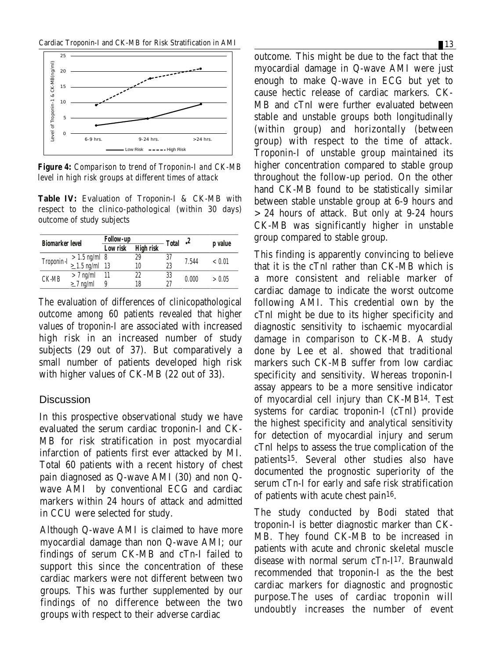

*Figure 4: Comparison to trend of Troponin-I and CK-MB level in high risk groups at different times of attack*

**Table IV:** Evaluation of Troponin-I & CK-MB with respect to the clinico-pathological (within 30 days) outcome of study subjects

| <b>Biomarker level</b> |                                                    | <b>Follow-up</b> |                  | <b>Total</b> | 2     | p value |
|------------------------|----------------------------------------------------|------------------|------------------|--------------|-------|---------|
|                        |                                                    | Low risk         | <b>High risk</b> |              |       |         |
|                        |                                                    |                  | 29               | 37           | 7.544 | < 0.01  |
|                        | Troponin -I $> 1.5$ ng/ml 8<br>$\geq 1.5$ ng/ml 13 |                  | 10               | 23           |       |         |
| <b>CK-MB</b>           | $> 7$ ng/ml                                        | - 11             | 22               | 33           | 0.000 | > 0.05  |
|                        | $\geq$ 7 ng/ml                                     | 9                | 18               | 27           |       |         |

The evaluation of differences of clinicopathological outcome among 60 patients revealed that higher values of troponin-I are associated with increased high risk in an increased number of study subjects (29 out of 37). But comparatively a small number of patients developed high risk with higher values of CK-MB (22 out of 33).

#### **Discussion**

In this prospective observational study we have evaluated the serum cardiac troponin-I and CK-MB for risk stratification in post myocardial infarction of patients first ever attacked by MI. Total 60 patients with a recent history of chest pain diagnosed as Q-wave AMI (30) and non Qwave AMI by conventional ECG and cardiac markers within 24 hours of attack and admitted in CCU were selected for study.

Although Q-wave AMI is claimed to have more myocardial damage than non Q-wave AMI; our findings of serum CK-MB and cTn-I failed to support this since the concentration of these cardiac markers were not different between two groups. This was further supplemented by our findings of no difference between the two groups with respect to their adverse cardiac

outcome. This might be due to the fact that the myocardial damage in Q-wave AMI were just enough to make Q-wave in ECG but yet to cause hectic release of cardiac markers. CK-MB and cTnI were further evaluated between stable and unstable groups both longitudinally (within group) and horizontally (between group) with respect to the time of attack. Troponin-I of unstable group maintained its higher concentration compared to stable group throughout the follow-up period. On the other hand CK-MB found to be statistically similar between stable unstable group at 6-9 hours and >24 hours of attack. But only at 9-24 hours CK-MB was significantly higher in unstable group compared to stable group.

This finding is apparently convincing to believe that it is the cTnI rather than CK-MB which is a more consistent and reliable marker of cardiac damage to indicate the worst outcome following AMI. This credential own by the cTnI might be due to its higher specificity and diagnostic sensitivity to ischaemic myocardial damage in comparison to CK-MB. A study done by Lee et al. showed that traditional markers such CK-MB suffer from low cardiac specificity and sensitivity. Whereas troponin-I assay appears to be a more sensitive indicator of myocardial cell injury than CK-MB14. Test systems for cardiac troponin-I (cTnI) provide the highest specificity and analytical sensitivity for detection of myocardial injury and serum cTnI helps to assess the true complication of the patients15. Several other studies also have documented the prognostic superiority of the serum cTn-I for early and safe risk stratification of patients with acute chest pain16.

The study conducted by Bodi stated that troponin-I is better diagnostic marker than CK-MB. They found CK-MB to be increased in patients with acute and chronic skeletal muscle disease with normal serum cTn-I17. Braunwald recommended that troponin-I as the the best cardiac markers for diagnostic and prognostic purpose.The uses of cardiac troponin will undoubtly increases the number of event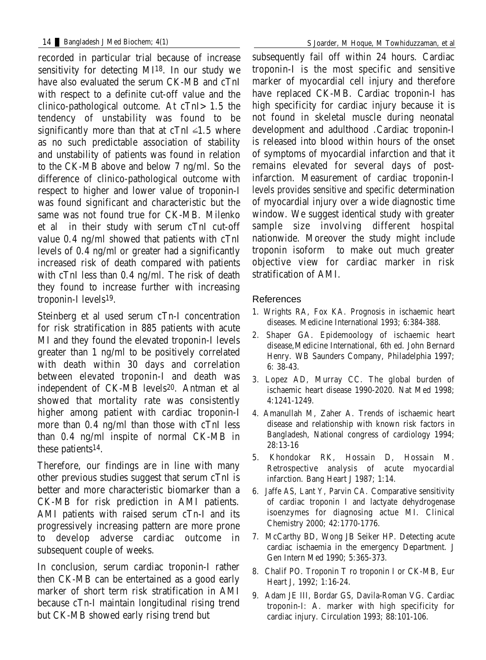recorded in particular trial because of increase sensitivity for detecting MI18. In our study we have also evaluated the serum CK-MB and cTnI with respect to a definite cut-off value and the clinico-pathological outcome. At cTnI>1.5 the tendency of unstability was found to be significantly more than that at cTnI  $\leq$ 1.5 where as no such predictable association of stability and unstability of patients was found in relation to the CK-MB above and below 7 ng/ml. So the difference of clinico-pathological outcome with respect to higher and lower value of troponin-I was found significant and characteristic but the same was not found true for CK-MB. Milenko et al in their study with serum cTnI cut-off value 0.4 ng/ml showed that patients with cTnI levels of 0.4 ng/ml or greater had a significantly increased risk of death compared with patients with cTnI less than 0.4 ng/ml. The risk of death they found to increase further with increasing troponin-I levels19.

Steinberg et al used serum cTn-I concentration for risk stratification in 885 patients with acute MI and they found the elevated troponin-I levels greater than 1 ng/ml to be positively correlated with death within 30 days and correlation between elevated troponin-I and death was independent of CK-MB levels20. Antman et al showed that mortality rate was consistently higher among patient with cardiac troponin-I more than 0.4 ng/ml than those with cTnI less than 0.4 ng/ml inspite of normal CK-MB in these patients14.

Therefore, our findings are in line with many other previous studies suggest that serum cTnI is better and more characteristic biomarker than a CK-MB for risk prediction in AMI patients. AMI patients with raised serum cTn-I and its progressively increasing pattern are more prone to develop adverse cardiac outcome in subsequent couple of weeks.

In conclusion, serum cardiac troponin-I rather then CK-MB can be entertained as a good early marker of short term risk stratification in AMI because cTn-I maintain longitudinal rising trend but CK-MB showed early rising trend but

subsequently fail off within 24 hours. Cardiac troponin-I is the most specific and sensitive marker of myocardial cell injury and therefore have replaced CK-MB. Cardiac troponin-I has high specificity for cardiac injury because it is not found in skeletal muscle during neonatal development and adulthood .Cardiac troponin-I is released into blood within hours of the onset of symptoms of myocardial infarction and that it remains elevated for several days of postinfarction. Measurement of cardiac troponin-I levels provides sensitive and specific determination of myocardial injury over a wide diagnostic time window. We suggest identical study with greater sample size involving different hospital nationwide. Moreover the study might include troponin isoform to make out much greater objective view for cardiac marker in risk stratification of AMI.

### References

- 1. Wrights RA, Fox KA. Prognosis in ischaemic heart diseases. Medicine International 1993; 6:384-388.
- 2. Shaper GA. Epidemoology of ischaemic heart disease,Medicine International, 6th ed. John Bernard Henry. WB Saunders Company, Philadelphia 1997; 6: 38-43.
- 3. Lopez AD, Murray CC. The global burden of ischaemic heart disease 1990-2020. Nat Med 1998; 4:1241-1249.
- 4. Amanullah M, Zaher A. Trends of ischaemic heart disease and relationship with known risk factors in Bangladesh, National congress of cardiology 1994; 28:13-16
- 5. Khondokar RK, Hossain D, Hossain M. Retrospective analysis of acute myocardial infarction. Bang Heart J 1987; 1:14.
- 6. Jaffe AS, Lant Y, Parvin CA. Comparative sensitivity of cardiac troponin I and lactyate dehydrogenase isoenzymes for diagnosing actue MI. Clinical Chemistry 2000; 42:1770-1776.
- 7. McCarthy BD, Wong JB Seiker HP. Detecting acute cardiac ischaemia in the emergency Department. J Gen Intern Med 1990; 5:365-373.
- 8. Chalif PO. Troponin T ro troponin I or CK-MB, Eur Heart J, 1992; 1:16-24.
- 9. Adam JE III, Bordar GS, Davila-Roman VG. Cardiac troponin-I: A. marker with high specificity for cardiac injury. Circulation 1993; 88:101-106.

14 Bangladesh J Med Biochem; 4(1) S Joarder, M Hoque, M Towhiduzzaman, et al 14 and 14 ladesh J Med Biochem; 4(1)